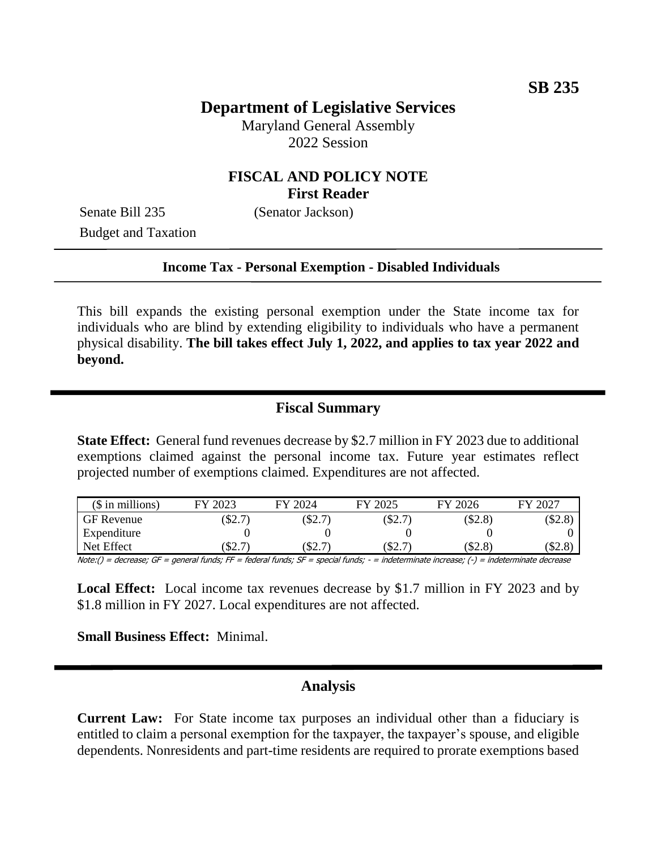## **Department of Legislative Services**

Maryland General Assembly 2022 Session

### **FISCAL AND POLICY NOTE First Reader**

Senate Bill 235 (Senator Jackson) Budget and Taxation

#### **Income Tax - Personal Exemption - Disabled Individuals**

This bill expands the existing personal exemption under the State income tax for individuals who are blind by extending eligibility to individuals who have a permanent physical disability. **The bill takes effect July 1, 2022, and applies to tax year 2022 and beyond.** 

### **Fiscal Summary**

**State Effect:** General fund revenues decrease by \$2.7 million in FY 2023 due to additional exemptions claimed against the personal income tax. Future year estimates reflect projected number of exemptions claimed. Expenditures are not affected.

| $($$ in millions) | 2023<br>FV            | FY 2024 | FY 2025 | FY 2026 | 2027<br>FV |
|-------------------|-----------------------|---------|---------|---------|------------|
| <b>GF</b> Revenue | \$2.7                 | \$2.7   | \$2.7   | \$2.8   | \$2.8      |
| Expenditure       |                       |         |         |         |            |
| Net Effect        | $\Delta\mathcal{L}$ . | \$2.7   | \$2.7   | \$2.8   | \$2.8      |

 $Note: () = decrease; GF = general funds; FF = federal funds; SF = special funds; SF = special funds; -i. This is a 1.5000, and the 1.610000, respectively.$ 

**Local Effect:** Local income tax revenues decrease by \$1.7 million in FY 2023 and by \$1.8 million in FY 2027. Local expenditures are not affected.

**Small Business Effect:** Minimal.

## **Analysis**

**Current Law:** For State income tax purposes an individual other than a fiduciary is entitled to claim a personal exemption for the taxpayer, the taxpayer's spouse, and eligible dependents. Nonresidents and part-time residents are required to prorate exemptions based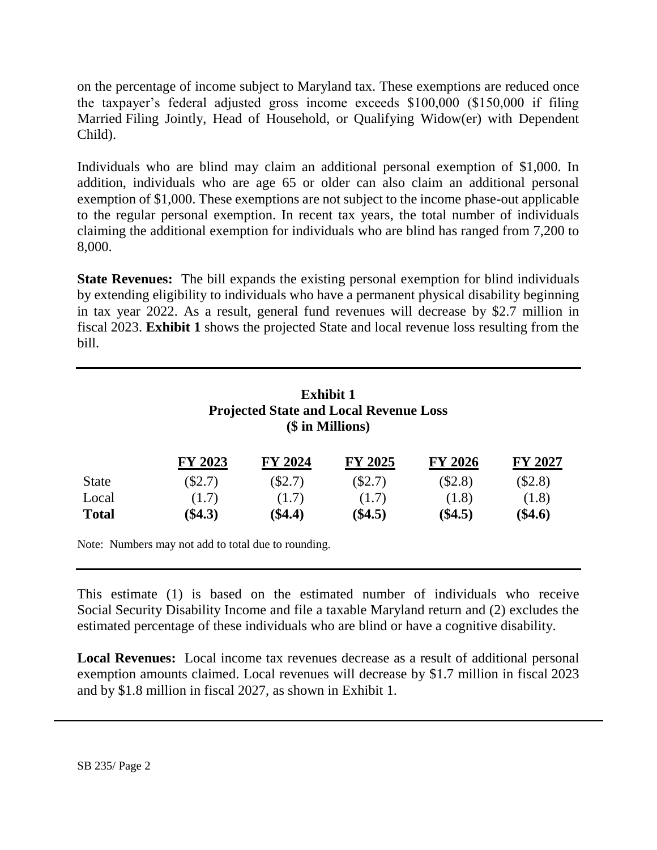on the percentage of income subject to Maryland tax. These exemptions are reduced once the taxpayer's federal adjusted gross income exceeds \$100,000 (\$150,000 if filing Married Filing Jointly, Head of Household, or Qualifying Widow(er) with Dependent Child).

Individuals who are blind may claim an additional personal exemption of \$1,000. In addition, individuals who are age 65 or older can also claim an additional personal exemption of \$1,000. These exemptions are not subject to the income phase-out applicable to the regular personal exemption. In recent tax years, the total number of individuals claiming the additional exemption for individuals who are blind has ranged from 7,200 to 8,000.

**State Revenues:** The bill expands the existing personal exemption for blind individuals by extending eligibility to individuals who have a permanent physical disability beginning in tax year 2022. As a result, general fund revenues will decrease by \$2.7 million in fiscal 2023. **Exhibit 1** shows the projected State and local revenue loss resulting from the bill.

| <b>Exhibit 1</b>                              |
|-----------------------------------------------|
| <b>Projected State and Local Revenue Loss</b> |
| (\$ in Millions)                              |

|              | FY 2023   | FY 2024   | <b>FY 2025</b> | <b>FY 2026</b> | <b>FY 2027</b> |
|--------------|-----------|-----------|----------------|----------------|----------------|
| <b>State</b> | (S2.7)    | $(\$2.7)$ | (S2.7)         | (S2.8)         | (\$2.8)        |
| Local        | (1.7)     | (1.7)     | (1.7)          | (1.8)          | (1.8)          |
| <b>Total</b> | $(\$4.3)$ | $(\$4.4)$ | $(\$4.5)$      | $(\$4.5)$      | $(\$4.6)$      |

Note: Numbers may not add to total due to rounding.

This estimate (1) is based on the estimated number of individuals who receive Social Security Disability Income and file a taxable Maryland return and (2) excludes the estimated percentage of these individuals who are blind or have a cognitive disability.

**Local Revenues:** Local income tax revenues decrease as a result of additional personal exemption amounts claimed. Local revenues will decrease by \$1.7 million in fiscal 2023 and by \$1.8 million in fiscal 2027, as shown in Exhibit 1.